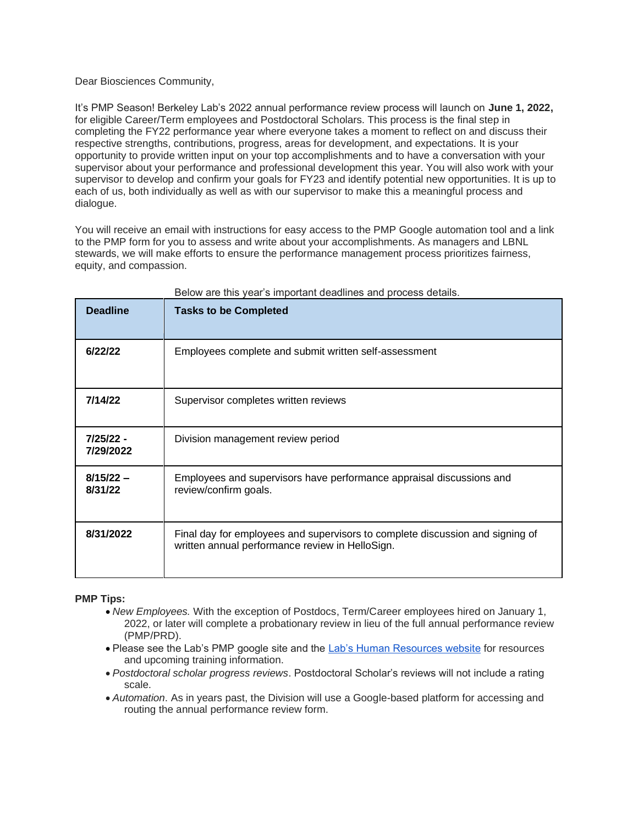## Dear Biosciences Community,

It's PMP Season! Berkeley Lab's 2022 annual performance review process will launch on **June 1, 2022,** for eligible Career/Term employees and Postdoctoral Scholars. This process is the final step in completing the FY22 performance year where everyone takes a moment to reflect on and discuss their respective strengths, contributions, progress, areas for development, and expectations. It is your opportunity to provide written input on your top accomplishments and to have a conversation with your supervisor about your performance and professional development this year. You will also work with your supervisor to develop and confirm your goals for FY23 and identify potential new opportunities. It is up to each of us, both individually as well as with our supervisor to make this a meaningful process and dialogue.

You will receive an email with instructions for easy access to the PMP Google automation tool and a link to the PMP form for you to assess and write about your accomplishments. As managers and LBNL stewards, we will make efforts to ensure the performance management process prioritizes fairness, equity, and compassion.

| <b>Deadline</b>          | <b>Tasks to be Completed</b>                                                                                                     |
|--------------------------|----------------------------------------------------------------------------------------------------------------------------------|
| 6/22/22                  | Employees complete and submit written self-assessment                                                                            |
| 7/14/22                  | Supervisor completes written reviews                                                                                             |
| $7/25/22 -$<br>7/29/2022 | Division management review period                                                                                                |
| $8/15/22 -$<br>8/31/22   | Employees and supervisors have performance appraisal discussions and<br>review/confirm goals.                                    |
| 8/31/2022                | Final day for employees and supervisors to complete discussion and signing of<br>written annual performance review in HelloSign. |

Below are this year's important deadlines and process details.

## **PMP Tips:**

- *New Employees.* With the exception of Postdocs, Term/Career employees hired on January 1, 2022, or later will complete a probationary review in lieu of the full annual performance review (PMP/PRD).
- Please see the Lab's PMP google site and the [Lab's Human Resources website](https://sites.google.com/lbl.gov/performance-management/home) for resources and upcoming training information.
- *Postdoctoral scholar progress reviews*. Postdoctoral Scholar's reviews will not include a rating scale.
- *Automation*. As in years past, the Division will use a Google-based platform for accessing and routing the annual performance review form.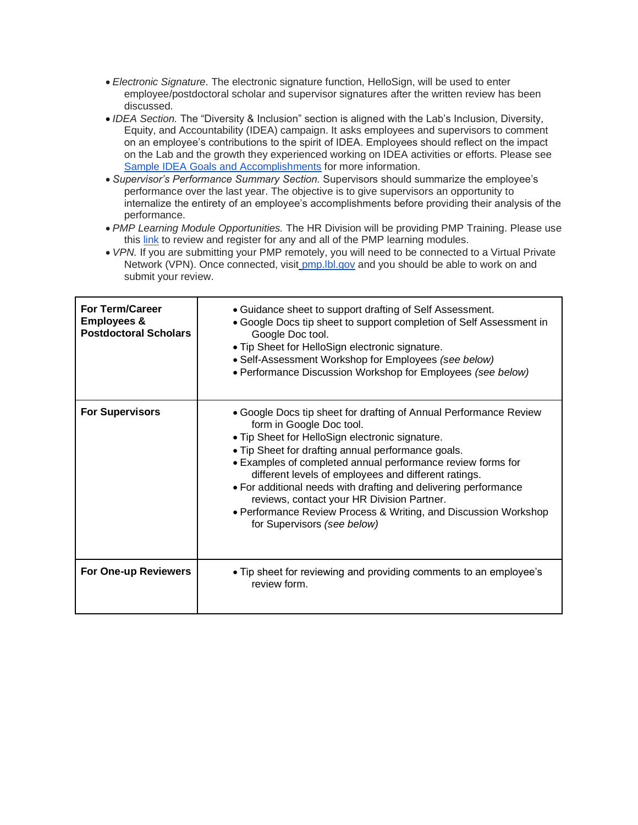- *Electronic Signature*. The electronic signature function, HelloSign, will be used to enter employee/postdoctoral scholar and supervisor signatures after the written review has been discussed.
- *IDEA Section.* The "Diversity & Inclusion" section is aligned with the Lab's Inclusion, Diversity, Equity, and Accountability (IDEA) campaign. It asks employees and supervisors to comment on an employee's contributions to the spirit of IDEA. Employees should reflect on the impact on the Lab and the growth they experienced working on IDEA activities or efforts. Please see [Sample IDEA Goals and Accomplishments](https://docs.google.com/document/d/1SBBW92QwjJYNDkImkCVviBAWUFTV9i-lIrF3lwOQq98/edit) for more information.
- *Supervisor's Performance Summary Section.* Supervisors should summarize the employee's performance over the last year. The objective is to give supervisors an opportunity to internalize the entirety of an employee's accomplishments before providing their analysis of the performance.
- *PMP Learning Module Opportunities.* The HR Division will be providing PMP Training. Please use this [link](https://sites.google.com/lbl.gov/performance-management/learning-modules) to review and register for any and all of the PMP learning modules.
- *VPN.* If you are submitting your PMP remotely, you will need to be connected to a Virtual Private Network (VPN). Once connected, visit [pmp.lbl.gov](http://pmp.lbl.gov/) and you should be able to work on and submit your review.

| <b>For Term/Career</b><br><b>Employees &amp;</b><br><b>Postdoctoral Scholars</b> | • Guidance sheet to support drafting of Self Assessment.<br>• Google Docs tip sheet to support completion of Self Assessment in<br>Google Doc tool.<br>• Tip Sheet for HelloSign electronic signature.<br>• Self-Assessment Workshop for Employees (see below)<br>• Performance Discussion Workshop for Employees (see below)                                                                                                                                                                                                                    |
|----------------------------------------------------------------------------------|--------------------------------------------------------------------------------------------------------------------------------------------------------------------------------------------------------------------------------------------------------------------------------------------------------------------------------------------------------------------------------------------------------------------------------------------------------------------------------------------------------------------------------------------------|
| <b>For Supervisors</b>                                                           | • Google Docs tip sheet for drafting of Annual Performance Review<br>form in Google Doc tool.<br>• Tip Sheet for HelloSign electronic signature.<br>. Tip Sheet for drafting annual performance goals.<br>• Examples of completed annual performance review forms for<br>different levels of employees and different ratings.<br>• For additional needs with drafting and delivering performance<br>reviews, contact your HR Division Partner.<br>• Performance Review Process & Writing, and Discussion Workshop<br>for Supervisors (see below) |
| <b>For One-up Reviewers</b>                                                      | • Tip sheet for reviewing and providing comments to an employee's<br>review form.                                                                                                                                                                                                                                                                                                                                                                                                                                                                |